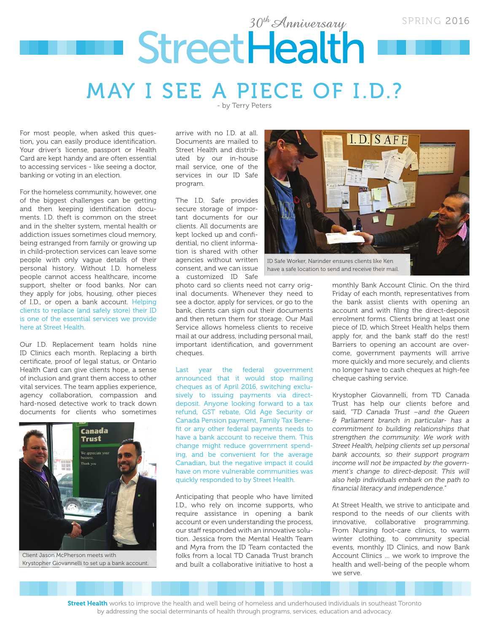# 30<sup>th</sup> Anniversary SPRING 2016 StreetHealth MAY I SEE A PIECE OF I.D.?

- by Terry Peters

For most people, when asked this question, you can easily produce identification. Your driver's license, passport or Health Card are kept handy and are often essential to accessing services - like seeing a doctor, banking or voting in an election.

For the homeless community, however, one of the biggest challenges can be getting and then keeping identification documents. I.D. theft is common on the street and in the shelter system, mental health or addiction issues sometimes cloud memory, being estranged from family or growing up in child-protection services can leave some people with only vague details of their personal history. Without I.D. homeless people cannot access healthcare, income support, shelter or food banks. Nor can they apply for jobs, housing, other pieces of I.D., or open a bank account. Helping clients to replace (and safely store) their ID is one of the essential services we provide here at Street Health.

Our I.D. Replacement team holds nine ID Clinics each month. Replacing a birth certificate, proof of legal status, or Ontario Health Card can give clients hope, a sense of inclusion and grant them access to other vital services. The team applies experience, agency collaboration, compassion and hard-nosed detective work to track down documents for clients who sometimes



Client Jason McPherson meets with Krystopher Giovannelli to set up a bank account.

arrive with no I.D. at all. Documents are mailed to Street Health and distributed by our in-house mail service, one of the services in our ID Safe program.

The I.D. Safe provides secure storage of important documents for our clients. All documents are kept locked up and confidential, no client information is shared with other agencies without written consent, and we can issue a customized ID Safe

photo card so clients need not carry original documents. Whenever they need to see a doctor, apply for services, or go to the bank, clients can sign out their documents and then return them for storage. Our Mail Service allows homeless clients to receive mail at our address, including personal mail, important identification, and government cheques.

Last year the federal government announced that it would stop mailing cheques as of April 2016, switching exclusively to issuing payments via directdeposit. Anyone looking forward to a tax refund, GST rebate, Old Age Security or Canada Pension payment, Family Tax Benefit or any other federal payments needs to have a bank account to receive them. This change might reduce government spending, and be convenient for the average Canadian, but the negative impact it could have on more vulnerable communities was quickly responded to by Street Health.

Anticipating that people who have limited I.D., who rely on income supports, who require assistance in opening a bank account or even understanding the process, our staff responded with an innovative solution. Jessica from the Mental Health Team and Myra from the ID Team contacted the folks from a local TD Canada Trust branch and built a collaborative initiative to host a



have a safe location to send and receive their mail.

monthly Bank Account Clinic. On the third Friday of each month, representatives from the bank assist clients with opening an account and with filing the direct-deposit enrolment forms. Clients bring at least one piece of ID, which Street Health helps them apply for, and the bank staff do the rest! Barriers to opening an account are overcome, government payments will arrive more quickly and more securely, and clients no longer have to cash cheques at high-fee cheque cashing service.

Krystopher Giovannelli, from TD Canada Trust has help our clients before and said, *"TD Canada Trust –and the Queen & Parliament branch in particular- has a commitment to building relationships that strengthen the community. We work with Street Health, helping clients set up personal bank accounts, so their support program income will not be impacted by the government's change to direct-deposit. This will also help individuals embark on the path to financial literacy and independence."*

At Street Health, we strive to anticipate and respond to the needs of our clients with innovative, collaborative programming. From Nursing foot-care clinics, to warm winter clothing, to community special events, monthly ID Clinics, and now Bank Account Clinics … we work to improve the health and well-being of the people whom we serve.

Street Health works to improve the health and well being of homeless and underhoused individuals in southeast Toronto by addressing the social determinants of health through programs, services, education and advocacy.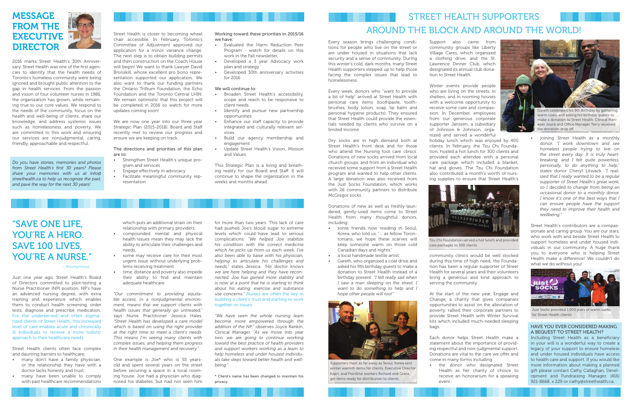## MESSAGE FROM THE **EXECUTIVE DIRECTOR**

2016 marks Street Health's 30th Anniversary. Street Health was one of the first agencies to identify that the health needs of Toronto's homeless community were being ignored and brought public attention to the gap in health services. From the passion and vision of four volunteer nurses in 1986, the organization has grown, while remaining true to our core values. We respond to the needs of the community, focus on the health and well-being of clients, share our knowledge, and address systemic issues such as homelessness and poverty. We are committed to this work and ensuring our services are nonjudgmental, caring, friendly, approachable and respectful.

Every season brings challenging conditions for people who live on the street or are under housed in situations that lack security and a sense of community. During this winter's cold, dark months, many Street Health supporters stepped up to help those facing the complex issues that lead to homelessness.

Every week, donors who "want to provide a bit of help" arrived at Street Health with personal care items (toothpaste, toothbrushes, body lotion, soap, lip balm and personal hygiene products). They ensured that Street Health could provide the essentials needed by clients who survive on a limited income.

Dry socks are in high demand both at Street Health's front desk and for those who attend the Nursing foot care clinics. Donations of new socks arrived from local church groups, and from an individual who received some support from a Street Health program and wanted to help other clients. A large donation was also received from the Just Socks Foundation, which works with 26 community partners to distribute McGregor socks.

Donations of new as well as freshly-laundered, gently-used items come to Street Health from many thoughtful donors, including:

- some friends now residing in Seoul, Korea, who told us, "… as fellow Torontonians, we hope these scarves will keep someone warm on those cold Canadian days and nights."
- a local handmade textile artist;
- Gareth, who organized a coat drive and asked his 9th birthday guests to make a donation to Street Health instead of a birthday present: *"I felt really sad when I saw a man sleeping on the street. I want to do something to help and I hope other people will too!"*



Support also came from community groups like Liberty Village Cares, which organized a clothing drive, and the St. Lawrence Dinner Club, which designated its annual club donation to Street Health.

Winter events provide people who are living on the streets, in shelters, and in rooming houses with a welcome opportunity to receive some care and compassion. In December, employees from our generous corporate supporter Janssen, a subsidiary of Johnson & Johnson, organized and served a wonderful holiday lunch which was enjoyed by 400 clients. In February, the Tzu Chi Foundation, hosted a hot lunch for 300 clients and provided each attendee with a personal care package which included a blanket, hat and gloves. The Tzu Chi Foundation also contributed a month's worth of nursing supplies to ensure that Street Health's

community clinics would be well stocked during this time of high need; the Foundation has been a regular supporter of Street Health for several years and their volunteers bring a generous and kind approach to serving the community.

At the start of the new year, Engage and Change, a charity that gives companies opportunities to assist on the alleviation of poverty, rallied their corporate partners to provide Street Health with Winter Survival kits which included much-needed sleeping bags.

Each donor helps Street Health make a statement about the importance of providing respectful and non-judgmental support. Donations are vital to the care we offer and

come in many forms including:

• the donor who designated Street Health as her charity of choice to receive an honorarium for a speaking

event.

#### HAVE YOU EVER CONSIDERED MAKING A BEQUEST TO STREET HEALTH?

Including Street Health as a beneficiary in your will is a wonderful way to create a legacy of your support to ensure homeless and under housed individuals have access to health care and support. If you would like more information about making a planned gift please contact Cathy Callaghan, Development and Fundraising Manager, (416) 921-8668, x 229 or cathy@streethealth.ca.

### "SAVE ONE LIFE, YOU'RE A HERO. SAVE 100 LIVES, YOU'RE A NURSE."

• joining Street Health as a monthly donor. *"I work downtown and see homeless people trying to live on the street every day. It is truly heartbreaking, and I felt quite powerless, personally, to do anything to help,"* states donor Cheryl Litwack. *"I realized that I really wanted to be a regular supporter of Street Health's great work, so I decided to change from being an occasional donor to a monthly donor. I know it's one of the best ways that I can ensure people have the support they need to improve their health and wellbeing."* 

Street Health's contributors are a compassionate and caring group. You are our stars, who work with and beside Street Health to support homeless and under housed individuals in our community. A huge thank you to everyone who is helping Street Health make a difference! We couldn't do what we do without you!

## STREET HEALTH SUPPORTERS AROUND THE BLOCK AND AROUND THE WORLD!



make a donation to Street Health. Clinical Manager Joyce and Office Manager Terry received the donation drop off.



Tzu Chi Foundation served a hot lunch and provided care packages to 300 clients.



Just Socks provided 1,000 pairs of warm socks for Street Health clients.

Supporters from as far away as Seoul, Korea sent winter warmth items for clients. Executive Director Kapri, and Frontline workers Richard and Grace, get items ready for distribution to clients.

Street Health is closer to becoming wheel chair accessible. In February, Toronto's Committee of Adjustment approved our application for a minor variance change. The next step is to obtain building permits

and then construction on the Coach House will begin! We want to thank Lawyer David Bronskill, whose excellent pro bono representation supported our application. We also want to thank our funding partners the Ontario Trillium Foundation, the Echo Foundation and the Toronto Central LHIN. We remain optimistic that this project will be completed in 2016 so watch for more updates coming soon!

We are now one year into our three year Strategic Plan (2015-2018). Board and Staff recently met to review our progress and ensure we are keeping on track.

#### The directions and priorities of this plan are to:

- Strengthen Street Health's unique program and services
- Engage effectively in advocacy
- Facilitate meaningful community representation

#### Working toward these priorities in 2015/16 we have:

- Evaluated the Harm Reduction Peer Program - watch for details on this work in the Fall newsletter,
- Developed a 3 year Advocacy work plan and strategy
- Developed 30th anniversary activities for 2016

#### We will continue to:

- Broaden Street Health's accessibility, scope and reach to be responsive to client needs
- Identify and pursue new partnership opportunities
- Enhance our staff capacity to provide integrated and culturally relevant services
- Build our agency membership and engagement
- Update Street Health's Vision, Mission and Values

This Strategic Plan is a living and breathing reality for our Board and Staff. It will continue to shape the organization in the weeks and months ahead.

*Do you have stories, memories and photos from Street Health's first 30 years? Please share your memories with us at info@ streethealth.ca to help us recognize the past, and pave the way for the next 30 years!*

Just one year ago, Street Health's Board of Directors committed to pilot-testing a Nurse Practitioner (NP) position. NP's have an advanced nursing degree, with extra training and experience which enables them to conduct health screening, order tests, diagnose and prescribe medication. For the underserved and often stigmatized clients of Street Health, this increased level of care enables acute and chronically ill individuals to receive a more holistic approach to their healthcare needs.

Street Health clients often face complex and daunting barriers to healthcare;

- many don't have a family physician, or the relationship they have with a doctor lacks honesty and trust,
- many have been unable to comply with past healthcare recommendations

#### - Anonymous

which puts an additional strain on their relationship with primary providers, • compounded mental and physical health issues mean they may lack the ability to articulate their challenges and

- needs, • some may receive care for their most urgent issue without underlying problems receiving treatment
- time, distance and poverty also impede their ability to find and maintain adequate healthcare

*"Our commitment to providing equitable access, in a nonjudgmental environment, means that we support clients with health issues that generally go untreated,"*  says Nurse Practitioner Jessica Hales. *"Street Health has developed a care model which is based on using the right provider at the right time to meet a client's needs. This means I'm seeing many clients with complex issues, and helping them progress in their health management and recovery."*

One example is Joe\* who is 55 yearsold and spent several years on the street before securing a space in a local rooming house. Joe had a physician who diagnosed his diabetes, but had not seen him for more than two years. This lack of care had pushed Joe's blood sugar to extreme levels which could have lead to serious complications. *"We helped Joe stabilize his condition with the correct medicine which he picks up from us each week. I've also been able to liaise with his physician, helping to articulate his challenges and needs,"* states Jessica. "*His doctor knows we are here helping and they have reconnected. Joe has gained more stability and is now at a point that he is starting to think about his eating, exercise and substance use concerns."* Nurses are often the key in building a client's trust and starting to work together on issues.

*"We have seen the whole nursing team become more empowered through the addition of the NP,"* observes Joyce Rankin, Clinical Manager. "*As we move into year two, we are going to continue working toward the best practice of health providers and support workers working as a team to help homeless and under housed individuals take steps toward better health and wellbeing."*

\* Client's name has been changed to maintain his privacy.